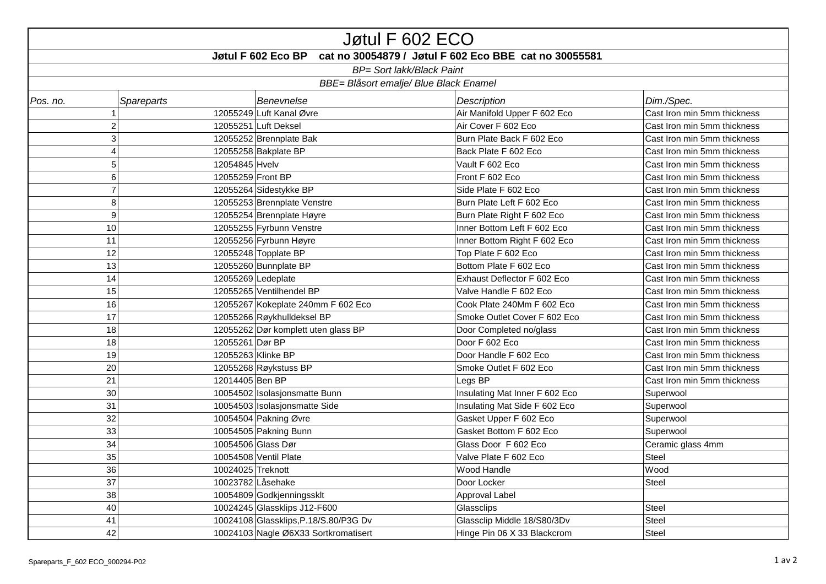| Jøtul F 602 ECO                                                             |                                  |                                       |                                |                             |  |  |  |  |
|-----------------------------------------------------------------------------|----------------------------------|---------------------------------------|--------------------------------|-----------------------------|--|--|--|--|
| cat no 30054879 / Jøtul F 602 Eco BBE cat no 30055581<br>Jøtul F 602 Eco BP |                                  |                                       |                                |                             |  |  |  |  |
| <b>BP= Sort lakk/Black Paint</b>                                            |                                  |                                       |                                |                             |  |  |  |  |
| <b>BBE= Blåsort emalje/ Blue Black Enamel</b>                               |                                  |                                       |                                |                             |  |  |  |  |
| Pos. no.                                                                    | <b>Spareparts</b>                | <b>Benevnelse</b>                     | <b>Description</b>             | Dim./Spec.                  |  |  |  |  |
|                                                                             |                                  | 12055249 Luft Kanal Øvre              | Air Manifold Upper F 602 Eco   | Cast Iron min 5mm thickness |  |  |  |  |
|                                                                             | 2                                | 12055251 Luft Deksel                  | Air Cover F 602 Eco            | Cast Iron min 5mm thickness |  |  |  |  |
|                                                                             | 3                                | 12055252 Brennplate Bak               | Burn Plate Back F 602 Eco      | Cast Iron min 5mm thickness |  |  |  |  |
|                                                                             | 4                                | 12055258 Bakplate BP                  | Back Plate F 602 Eco           | Cast Iron min 5mm thickness |  |  |  |  |
|                                                                             | 5 <sup>1</sup><br>12054845 Hvelv |                                       | Vault F 602 Eco                | Cast Iron min 5mm thickness |  |  |  |  |
|                                                                             | $\,6$<br>12055259 Front BP       |                                       | Front F 602 Eco                | Cast Iron min 5mm thickness |  |  |  |  |
|                                                                             | $\overline{7}$                   | 12055264 Sidestykke BP                | Side Plate F 602 Eco           | Cast Iron min 5mm thickness |  |  |  |  |
|                                                                             | 8                                | 12055253 Brennplate Venstre           | Burn Plate Left F 602 Eco      | Cast Iron min 5mm thickness |  |  |  |  |
| $\boldsymbol{9}$                                                            | 12055254 Brennplate Høyre        |                                       | Burn Plate Right F 602 Eco     | Cast Iron min 5mm thickness |  |  |  |  |
| 10                                                                          | 12055255 Fyrbunn Venstre         |                                       | Inner Bottom Left F 602 Eco    | Cast Iron min 5mm thickness |  |  |  |  |
| 11                                                                          |                                  | 12055256 Fyrbunn Høyre                | Inner Bottom Right F 602 Eco   | Cast Iron min 5mm thickness |  |  |  |  |
| 12                                                                          |                                  | 12055248 Topplate BP                  | Top Plate F 602 Eco            | Cast Iron min 5mm thickness |  |  |  |  |
| 13                                                                          |                                  | 12055260 Bunnplate BP                 | Bottom Plate F 602 Eco         | Cast Iron min 5mm thickness |  |  |  |  |
| 14                                                                          | 12055269 Ledeplate               |                                       | Exhaust Deflector F 602 Eco    | Cast Iron min 5mm thickness |  |  |  |  |
| 15                                                                          |                                  | 12055265 Ventilhendel BP              | Valve Handle F 602 Eco         | Cast Iron min 5mm thickness |  |  |  |  |
| 16                                                                          |                                  | 12055267 Kokeplate 240mm F 602 Eco    | Cook Plate 240Mm F 602 Eco     | Cast Iron min 5mm thickness |  |  |  |  |
| 17                                                                          |                                  | 12055266 Røykhulldeksel BP            | Smoke Outlet Cover F 602 Eco   | Cast Iron min 5mm thickness |  |  |  |  |
| 18                                                                          |                                  | 12055262 Dør komplett uten glass BP   | Door Completed no/glass        | Cast Iron min 5mm thickness |  |  |  |  |
| 18                                                                          | 12055261 Dør BP                  |                                       | Door F 602 Eco                 | Cast Iron min 5mm thickness |  |  |  |  |
| 19                                                                          | 12055263 Klinke BP               |                                       | Door Handle F 602 Eco          | Cast Iron min 5mm thickness |  |  |  |  |
| 20                                                                          |                                  | 12055268 Røykstuss BP                 | Smoke Outlet F 602 Eco         | Cast Iron min 5mm thickness |  |  |  |  |
| 21                                                                          | 12014405 Ben BP                  |                                       | Legs BP                        | Cast Iron min 5mm thickness |  |  |  |  |
| 30                                                                          |                                  | 10054502   Isolasjonsmatte Bunn       | Insulating Mat Inner F 602 Eco | Superwool                   |  |  |  |  |
| 31                                                                          |                                  | 10054503 Isolasjonsmatte Side         | Insulating Mat Side F 602 Eco  | Superwool                   |  |  |  |  |
| 32                                                                          |                                  | 10054504 Pakning Øvre                 | Gasket Upper F 602 Eco         | Superwool                   |  |  |  |  |
| 33                                                                          |                                  | 10054505 Pakning Bunn                 | Gasket Bottom F 602 Eco        | Superwool                   |  |  |  |  |
| 34                                                                          | 10054506 Glass Dør               |                                       | Glass Door F 602 Eco           | Ceramic glass 4mm           |  |  |  |  |
| 35                                                                          |                                  | 10054508 Ventil Plate                 | Valve Plate F 602 Eco          | Steel                       |  |  |  |  |
| 36                                                                          | 10024025 Treknott                |                                       | Wood Handle                    | Wood                        |  |  |  |  |
|                                                                             | 37<br>10023782 Låsehake          |                                       | Door Locker                    | Steel                       |  |  |  |  |
| 38                                                                          | 10054809 Godkjenningssklt        |                                       | Approval Label                 |                             |  |  |  |  |
| 40                                                                          | 10024245 Glassklips J12-F600     |                                       | Glassclips                     | Steel                       |  |  |  |  |
| 41                                                                          |                                  | 10024108 Glassklips, P.18/S.80/P3G Dv | Glassclip Middle 18/S80/3Dv    | Steel                       |  |  |  |  |
| 42                                                                          |                                  | 10024103 Nagle Ø6X33 Sortkromatisert  | Hinge Pin 06 X 33 Blackcrom    | Steel                       |  |  |  |  |